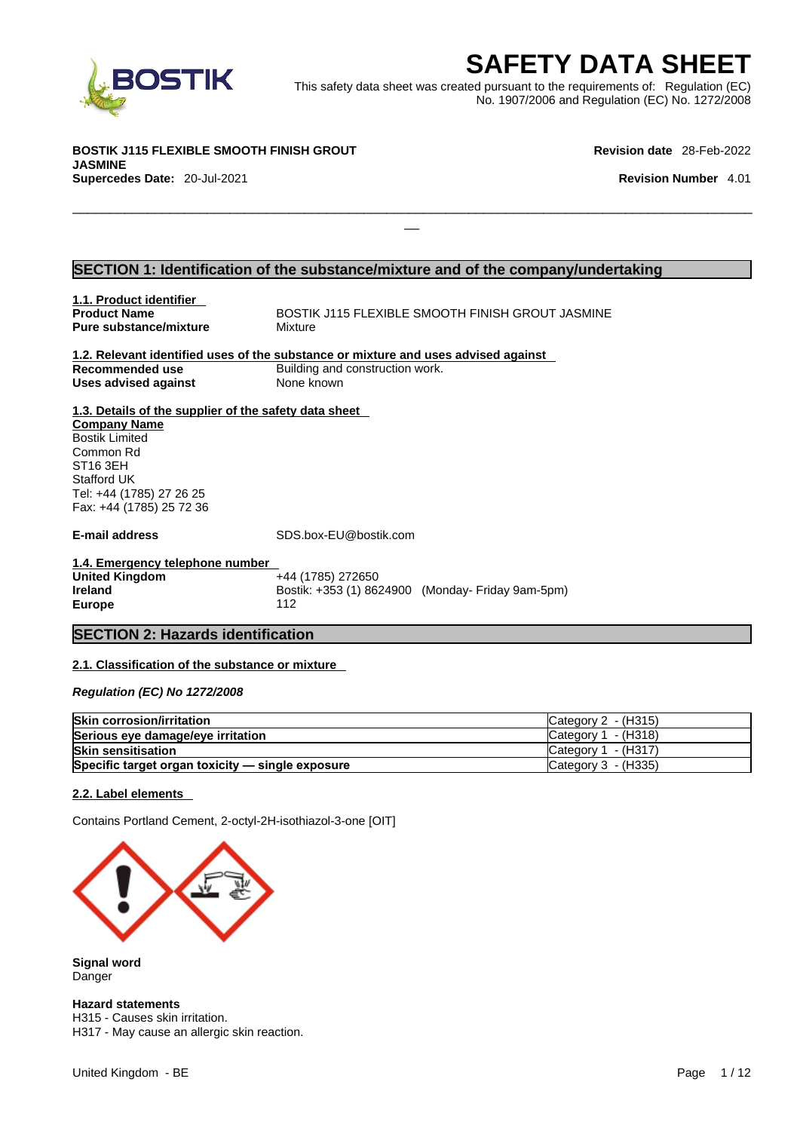

EXECUTE THE SAFETY DATA SHEET<br>
Het was created pursuant to the requirements of: Regulation (EC)<br>
No. 1907/2006 and Regulation (EC) No. 1272/2008<br>
Revision date 28-Feb-2022<br>
Revision Number 4.01 This safety data sheet was created pursuant to the requirements of: Regulation (EC) No. 1907/2006 and Regulation (EC) No. 1272/2008

 $\Box$ 

**BOSTIK J115 FLEXIBLE SMOOTH FINISH GROUT JASMINE Supercedes Date:** 20-Jul-2021 **Revision Number** 4.01

**Revision date** 28-Feb-2022

### **SECTION 1: Identification of the substance/mixture and of the company/undertaking**

| 1.1. Product identifier                               |                                                                                    |
|-------------------------------------------------------|------------------------------------------------------------------------------------|
| <b>Product Name</b>                                   | BOSTIK J115 FLEXIBLE SMOOTH FINISH GROUT JASMINE                                   |
| <b>Pure substance/mixture</b>                         | Mixture                                                                            |
|                                                       |                                                                                    |
|                                                       | 1.2. Relevant identified uses of the substance or mixture and uses advised against |
| Recommended use                                       | Building and construction work.                                                    |
| Uses advised against                                  | None known                                                                         |
|                                                       |                                                                                    |
| 1.3. Details of the supplier of the safety data sheet |                                                                                    |
| <b>Company Name</b>                                   |                                                                                    |
| <b>Bostik Limited</b>                                 |                                                                                    |
| Common Rd                                             |                                                                                    |
| ST <sub>16</sub> 3EH                                  |                                                                                    |
| Stafford UK                                           |                                                                                    |
| Tel: +44 (1785) 27 26 25                              |                                                                                    |
| Fax: +44 (1785) 25 72 36                              |                                                                                    |
|                                                       |                                                                                    |
| <b>E-mail address</b>                                 | SDS.box-EU@bostik.com                                                              |
|                                                       |                                                                                    |
| 1.4. Emergency telephone number                       |                                                                                    |
| <b>United Kingdom</b>                                 | +44 (1785) 272650                                                                  |
| <b>Ireland</b>                                        | Bostik: +353 (1) 8624900 (Monday- Friday 9am-5pm)                                  |
| <b>Europe</b>                                         | 112                                                                                |
|                                                       |                                                                                    |
| <b>SECTION 2: Hazards identification</b>              |                                                                                    |
|                                                       |                                                                                    |

### **2.1. Classification of the substance or mixture**

*Regulation (EC) No 1272/2008* 

| <b>Skin corrosion/irritation</b>                 | Category 2 - (H315)   |
|--------------------------------------------------|-----------------------|
| Serious eye damage/eye irritation                | Category $1 - (H318)$ |
| <b>Skin sensitisation</b>                        | Category $1 - (H317)$ |
| Specific target organ toxicity - single exposure | ICategory 3 - (H335)  |

#### **2.2. Label elements**

Contains Portland Cement, 2-octyl-2H-isothiazol-3-one [OIT]



**Signal word** Danger

**Hazard statements**

H315 - Causes skin irritation. H317 - May cause an allergic skin reaction.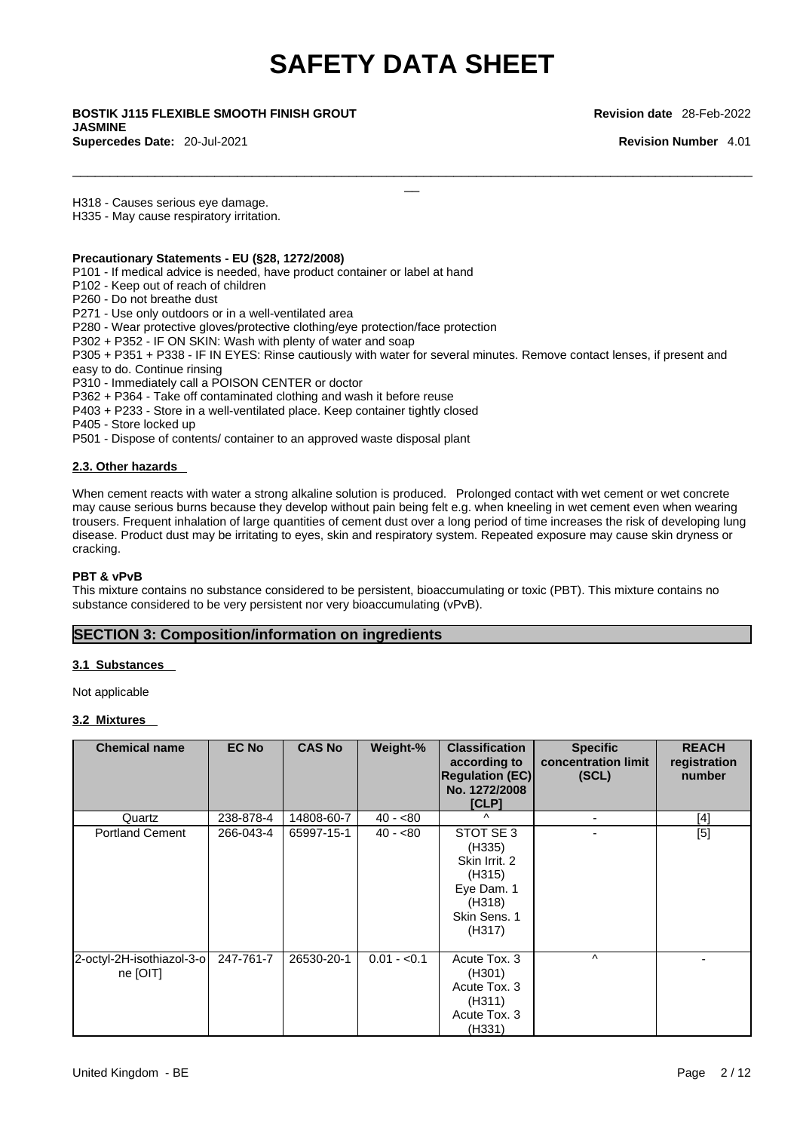$\Box$ 

\_\_ **BOSTIK J115 FLEXIBLE SMOOTH FINISH GROUT JASMINE Supercedes Date:** 20-Jul-2021 **Revision Number** 4.01

**Revision date** 28-Feb-2022

H318 - Causes serious eye damage.

H335 - May cause respiratory irritation.

#### **Precautionary Statements - EU (§28, 1272/2008)**

P101 - If medical advice is needed, have product container or label at hand

- P102 Keep out of reach of children
- P260 Do not breathe dust

P271 - Use only outdoors or in a well-ventilated area

P280 - Wear protective gloves/protective clothing/eye protection/face protection

P302 + P352 - IF ON SKIN: Wash with plenty of water and soap

P305 + P351 + P338 - IF IN EYES: Rinse cautiously with water for several minutes. Remove contact lenses, if present and easy to do. Continue rinsing

P310 - Immediately call a POISON CENTER or doctor

P362 + P364 - Take off contaminated clothing and wash it before reuse

P403 + P233 - Store in a well-ventilated place. Keep container tightly closed

P405 - Store locked up

P501 - Dispose of contents/ container to an approved waste disposal plant

#### **2.3. Other hazards**

When cement reacts with water a strong alkaline solution is produced. Prolonged contact with wet cement or wet concrete may cause serious burns because they develop without pain being felt e.g. when kneeling in wet cement even when wearing trousers. Frequent inhalation of large quantities of cement dust over a long period of time increases the risk of developing lung disease. Product dust may be irritating to eyes, skin and respiratory system. Repeated exposure may cause skin dryness or cracking.

#### **PBT & vPvB**

This mixture contains no substance considered to be persistent, bioaccumulating or toxic (PBT). This mixture contains no substance considered to be very persistent nor very bioaccumulating (vPvB).

### **SECTION 3: Composition/information on ingredients**

#### **3.1 Substances**

Not applicable

#### **3.2 Mixtures**

| <b>Chemical name</b>                  | <b>EC No</b> | <b>CAS No</b> | Weight-%     | <b>Classification</b><br>according to<br><b>Regulation (EC)</b><br>No. 1272/2008<br>[CLP]        | <b>Specific</b><br>concentration limit<br>(SCL) | <b>REACH</b><br>registration<br>number |
|---------------------------------------|--------------|---------------|--------------|--------------------------------------------------------------------------------------------------|-------------------------------------------------|----------------------------------------|
| Quartz                                | 238-878-4    | 14808-60-7    | $40 - 80$    | $\lambda$                                                                                        | $\blacksquare$                                  | [4]                                    |
| <b>Portland Cement</b>                | 266-043-4    | 65997-15-1    | $40 - 80$    | STOT SE 3<br>(H335)<br>Skin Irrit. 2<br>(H315)<br>Eye Dam. 1<br>(H318)<br>Skin Sens. 1<br>(H317) |                                                 | [5]                                    |
| 2-octyl-2H-isothiazol-3-o<br>ne [OIT] | 247-761-7    | 26530-20-1    | $0.01 - 0.1$ | Acute Tox. 3<br>(H301)<br>Acute Tox. 3<br>(H311)<br>Acute Tox. 3<br>(H331)                       | $\wedge$                                        |                                        |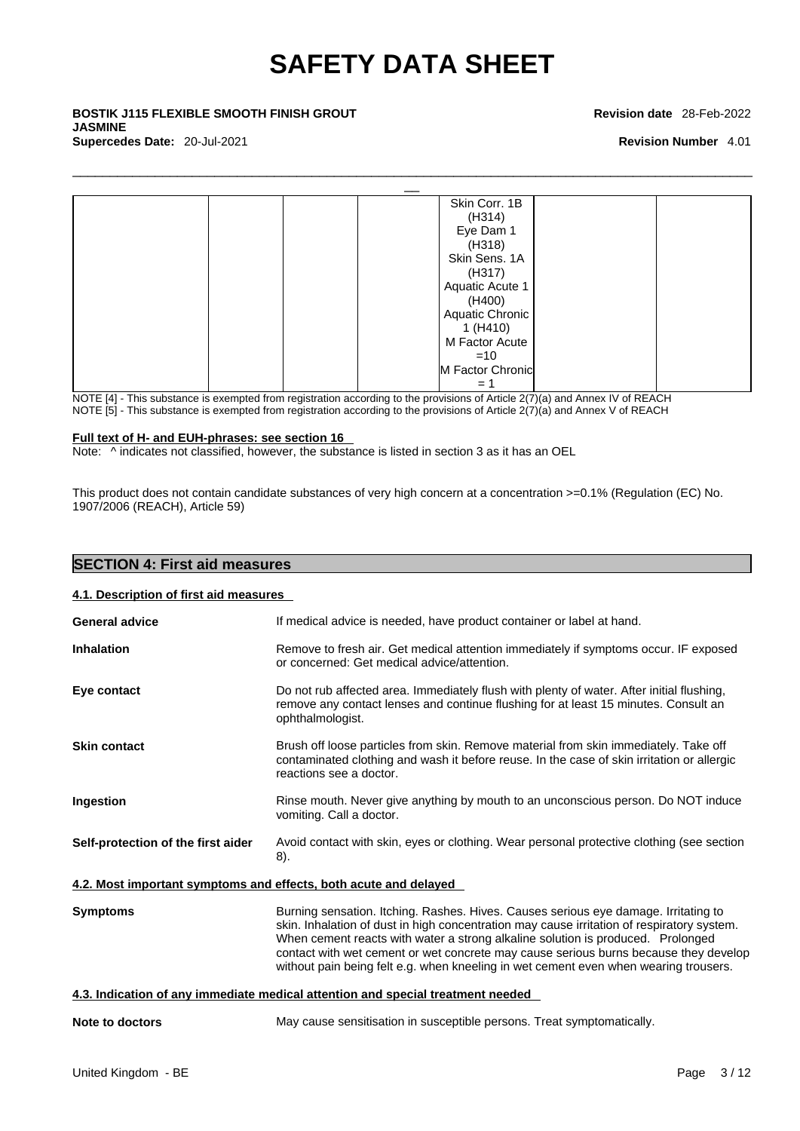$\Box$ 

\_\_ **BOSTIK J115 FLEXIBLE SMOOTH FINISH GROUT JASMINE Supercedes Date:** 20-Jul-2021 **Revision Number** 4.01

#### **Revision date** 28-Feb-2022



NOTE [4] - This substance is exempted from registration according to the provisions of Article 2(7)(a) and Annex IV of REACH

NOTE [5] - This substance is exempted from registration according to the provisions of Article  $2(7)(a)$  and Annex V of REACH

#### **Full text of H- and EUH-phrases: see section 16**

Note:  $\wedge$  indicates not classified, however, the substance is listed in section 3 as it has an OEL

This product does not contain candidate substances of very high concern at a concentration >=0.1% (Regulation (EC) No. 1907/2006 (REACH), Article 59)

| <b>SECTION 4: First aid measures</b>   |                                                                                                                                                                                                                                                                                                                                                                                                                                                      |
|----------------------------------------|------------------------------------------------------------------------------------------------------------------------------------------------------------------------------------------------------------------------------------------------------------------------------------------------------------------------------------------------------------------------------------------------------------------------------------------------------|
| 4.1. Description of first aid measures |                                                                                                                                                                                                                                                                                                                                                                                                                                                      |
| <b>General advice</b>                  | If medical advice is needed, have product container or label at hand.                                                                                                                                                                                                                                                                                                                                                                                |
| <b>Inhalation</b>                      | Remove to fresh air. Get medical attention immediately if symptoms occur. IF exposed<br>or concerned: Get medical advice/attention.                                                                                                                                                                                                                                                                                                                  |
| Eye contact                            | Do not rub affected area. Immediately flush with plenty of water. After initial flushing,<br>remove any contact lenses and continue flushing for at least 15 minutes. Consult an<br>ophthalmologist.                                                                                                                                                                                                                                                 |
| <b>Skin contact</b>                    | Brush off loose particles from skin. Remove material from skin immediately. Take off<br>contaminated clothing and wash it before reuse. In the case of skin irritation or allergic<br>reactions see a doctor.                                                                                                                                                                                                                                        |
| Ingestion                              | Rinse mouth. Never give anything by mouth to an unconscious person. Do NOT induce<br>vomiting. Call a doctor.                                                                                                                                                                                                                                                                                                                                        |
| Self-protection of the first aider     | Avoid contact with skin, eyes or clothing. Wear personal protective clothing (see section<br>8).                                                                                                                                                                                                                                                                                                                                                     |
|                                        | 4.2. Most important symptoms and effects, both acute and delayed                                                                                                                                                                                                                                                                                                                                                                                     |
| <b>Symptoms</b>                        | Burning sensation. Itching. Rashes. Hives. Causes serious eye damage. Irritating to<br>skin. Inhalation of dust in high concentration may cause irritation of respiratory system.<br>When cement reacts with water a strong alkaline solution is produced. Prolonged<br>contact with wet cement or wet concrete may cause serious burns because they develop<br>without pain being felt e.g. when kneeling in wet cement even when wearing trousers. |
|                                        | 4.3. Indication of any immediate medical attention and special treatment needed                                                                                                                                                                                                                                                                                                                                                                      |
| Note to doctors                        | May cause sensitisation in susceptible persons. Treat symptomatically.                                                                                                                                                                                                                                                                                                                                                                               |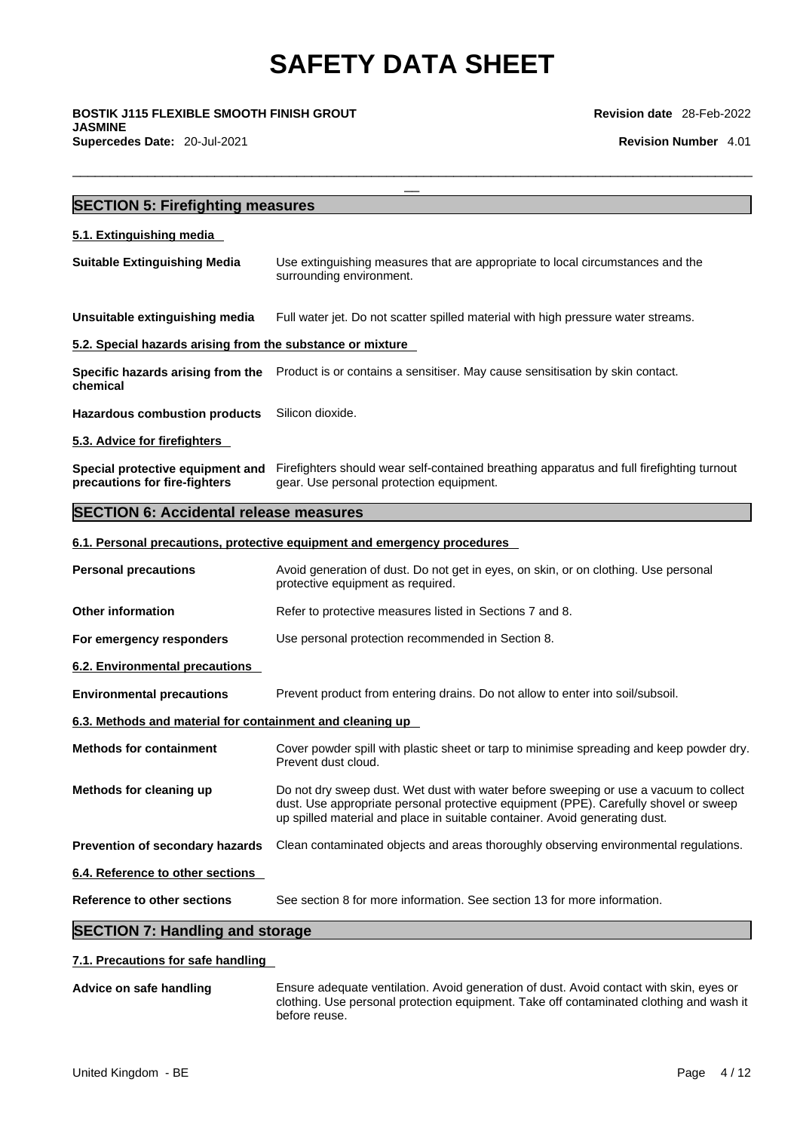\_\_ **BOSTIK J115 FLEXIBLE SMOOTH FINISH GROUT JASMINE Supercedes Date:** 20-Jul-2021 **Revision Number** 4.01

**Revision date** 28-Feb-2022

| <b>SECTION 5: Firefighting measures</b>                           |                                                                                                                                                                                                                                                              |
|-------------------------------------------------------------------|--------------------------------------------------------------------------------------------------------------------------------------------------------------------------------------------------------------------------------------------------------------|
| 5.1. Extinguishing media                                          |                                                                                                                                                                                                                                                              |
| <b>Suitable Extinguishing Media</b>                               | Use extinguishing measures that are appropriate to local circumstances and the<br>surrounding environment.                                                                                                                                                   |
| Unsuitable extinguishing media                                    | Full water jet. Do not scatter spilled material with high pressure water streams.                                                                                                                                                                            |
| 5.2. Special hazards arising from the substance or mixture        |                                                                                                                                                                                                                                                              |
| chemical                                                          | Specific hazards arising from the Product is or contains a sensitiser. May cause sensitisation by skin contact.                                                                                                                                              |
| <b>Hazardous combustion products</b>                              | Silicon dioxide.                                                                                                                                                                                                                                             |
| 5.3. Advice for firefighters                                      |                                                                                                                                                                                                                                                              |
| Special protective equipment and<br>precautions for fire-fighters | Firefighters should wear self-contained breathing apparatus and full firefighting turnout<br>gear. Use personal protection equipment.                                                                                                                        |
| <b>SECTION 6: Accidental release measures</b>                     |                                                                                                                                                                                                                                                              |
|                                                                   | 6.1. Personal precautions, protective equipment and emergency procedures                                                                                                                                                                                     |
| <b>Personal precautions</b>                                       | Avoid generation of dust. Do not get in eyes, on skin, or on clothing. Use personal<br>protective equipment as required.                                                                                                                                     |
| <b>Other information</b>                                          | Refer to protective measures listed in Sections 7 and 8.                                                                                                                                                                                                     |
| For emergency responders                                          | Use personal protection recommended in Section 8.                                                                                                                                                                                                            |
| 6.2. Environmental precautions                                    |                                                                                                                                                                                                                                                              |
| <b>Environmental precautions</b>                                  | Prevent product from entering drains. Do not allow to enter into soil/subsoil.                                                                                                                                                                               |
| 6.3. Methods and material for containment and cleaning up         |                                                                                                                                                                                                                                                              |
| <b>Methods for containment</b>                                    | Cover powder spill with plastic sheet or tarp to minimise spreading and keep powder dry.<br>Prevent dust cloud.                                                                                                                                              |
| Methods for cleaning up                                           | Do not dry sweep dust. Wet dust with water before sweeping or use a vacuum to collect<br>dust. Use appropriate personal protective equipment (PPE). Carefully shovel or sweep<br>up spilled material and place in suitable container. Avoid generating dust. |
| Prevention of secondary hazards                                   | Clean contaminated objects and areas thoroughly observing environmental regulations.                                                                                                                                                                         |
| 6.4. Reference to other sections                                  |                                                                                                                                                                                                                                                              |
| <b>Reference to other sections</b>                                | See section 8 for more information. See section 13 for more information.                                                                                                                                                                                     |

# **SECTION 7: Handling and storage**

### **7.1. Precautions for safe handling**

**Advice on safe handling** Ensure adequate ventilation. Avoid generation of dust. Avoid contact with skin, eyes or clothing. Use personal protection equipment. Take off contaminated clothing and wash it before reuse.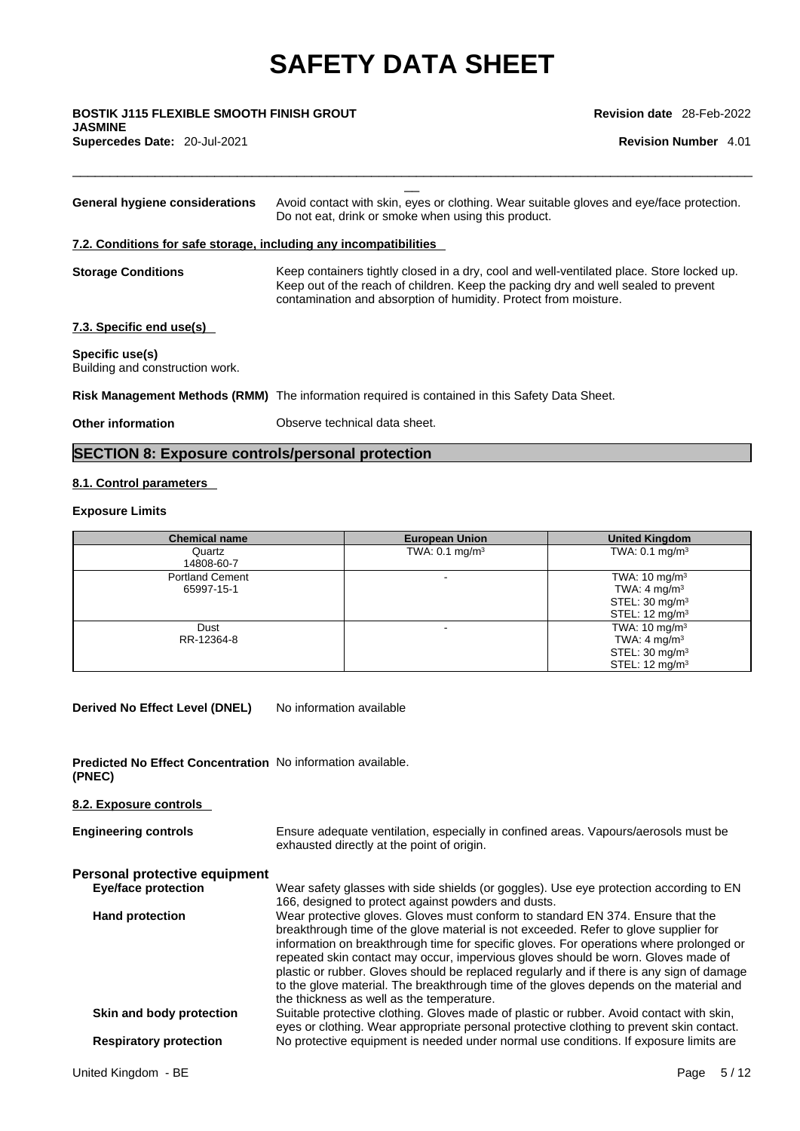$\Box$ 

\_\_ **BOSTIK J115 FLEXIBLE SMOOTH FINISH GROUT JASMINE** 

**Supercedes Date:** 20-Jul-2021 **Revision Number** 4.01

| General hygiene considerations                                    | Avoid contact with skin, eyes or clothing. Wear suitable gloves and eye/face protection.<br>Do not eat, drink or smoke when using this product.                                                                                                     |
|-------------------------------------------------------------------|-----------------------------------------------------------------------------------------------------------------------------------------------------------------------------------------------------------------------------------------------------|
| 7.2. Conditions for safe storage, including any incompatibilities |                                                                                                                                                                                                                                                     |
| <b>Storage Conditions</b>                                         | Keep containers tightly closed in a dry, cool and well-ventilated place. Store locked up.<br>Keep out of the reach of children. Keep the packing dry and well sealed to prevent<br>contamination and absorption of humidity. Protect from moisture. |
| 7.3. Specific end use(s)                                          |                                                                                                                                                                                                                                                     |
| Specific use(s)<br>Building and construction work.                |                                                                                                                                                                                                                                                     |
|                                                                   | Risk Management Methods (RMM) The information required is contained in this Safety Data Sheet.                                                                                                                                                      |
| Other information                                                 | Observe technical data sheet.                                                                                                                                                                                                                       |
|                                                                   |                                                                                                                                                                                                                                                     |

# **SECTION 8: Exposure controls/personal protection**

### **8.1. Control parameters**

### **Exposure Limits**

| <b>Chemical name</b>                 | <b>European Union</b>     | <b>United Kingdom</b>                                                                                          |
|--------------------------------------|---------------------------|----------------------------------------------------------------------------------------------------------------|
| Quartz<br>14808-60-7                 | TWA: $0.1 \text{ mg/m}^3$ | TWA: $0.1 \text{ mg/m}^3$                                                                                      |
| <b>Portland Cement</b><br>65997-15-1 |                           | TWA: $10 \text{ mg/m}^3$<br>TWA: 4 mg/m <sup>3</sup><br>STEL: $30 \text{ mg/m}^3$<br>STEL: $12 \text{ mg/m}^3$ |
| Dust<br>RR-12364-8                   | $\overline{\phantom{0}}$  | TWA: $10 \text{ mg/m}^3$<br>TWA: 4 mg/m $3$<br>STEL: $30 \text{ mg/m}^3$<br>STEL: $12 \text{ mg/m}^3$          |

**Derived No Effect Level (DNEL)** No information available

**Predicted No Effect Concentration** No information available. **(PNEC)** 

**8.2. Exposure controls Engineering controls** Ensure adequate ventilation, especially in confined areas. Vapours/aerosols must be exhausted directly at the point of origin. **Personal protective equipment Eye/face protection** Wear safety glasses with side shields (or goggles). Use eye protection according to EN 166, designed to protect against powders and dusts. **Hand protection** Wear protective gloves. Gloves must conform to standard EN 374. Ensure that the

breakthrough time of the glove material is not exceeded. Refer to glove supplier for information on breakthrough time for specific gloves. For operations where prolonged or repeated skin contact may occur, impervious gloves should be worn. Gloves made of plastic or rubber. Gloves should be replaced regularly and if there is any sign of damage to the glove material. The breakthrough time of the gloves depends on the material and the thickness as well as the temperature.

**Skin and body protection** Suitable protective clothing. Gloves made of plastic or rubber. Avoid contact with skin, eyes or clothing. Wear appropriate personal protective clothing to prevent skin contact. **Respiratory protection** No protective equipment is needed under normal use conditions. If exposure limits are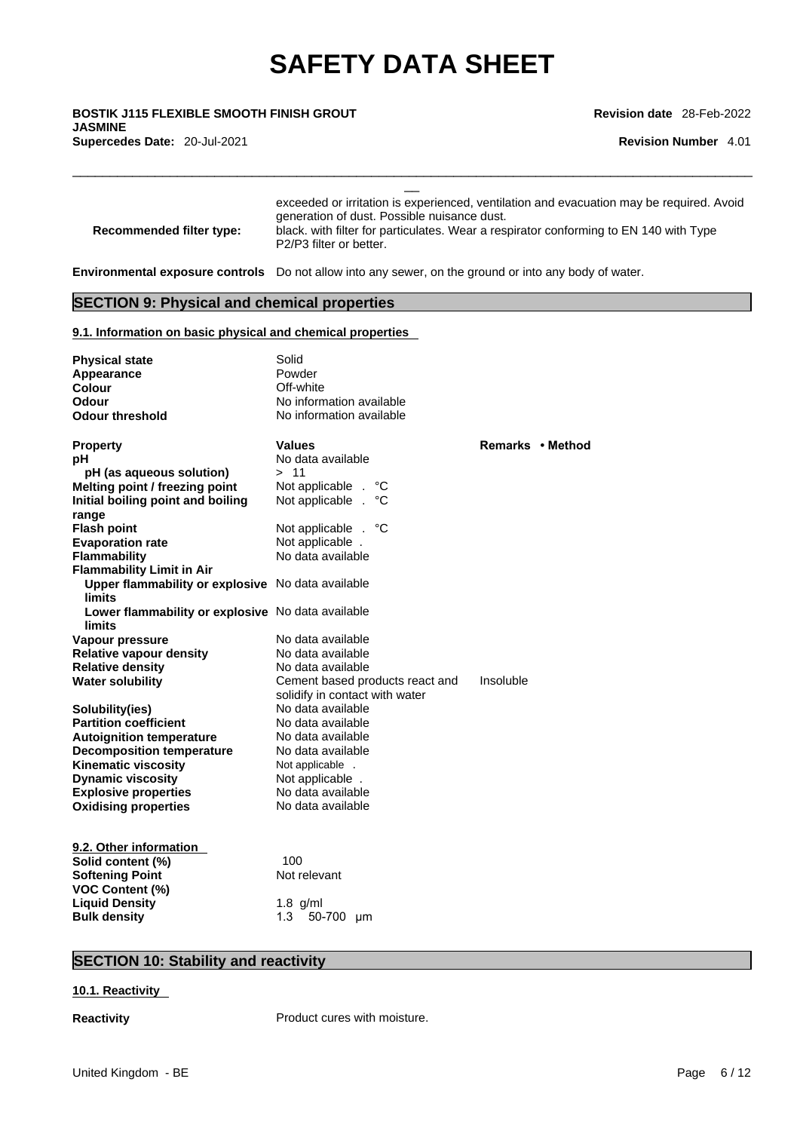\_\_ **BOSTIK J115 FLEXIBLE SMOOTH FINISH GROUT JASMINE Supercedes Date:** 20-Jul-2021 **Revision Number** 4.01

**Revision date** 28-Feb-2022

| Recommended filter type:                                    | exceeded or irritation is experienced, ventilation and evacuation may be required. Avoid<br>generation of dust. Possible nuisance dust.<br>black. with filter for particulates. Wear a respirator conforming to EN 140 with Type<br>P2/P3 filter or better. |                  |  |  |  |  |  |
|-------------------------------------------------------------|-------------------------------------------------------------------------------------------------------------------------------------------------------------------------------------------------------------------------------------------------------------|------------------|--|--|--|--|--|
|                                                             | <b>Environmental exposure controls</b> Do not allow into any sewer, on the ground or into any body of water.                                                                                                                                                |                  |  |  |  |  |  |
| <b>SECTION 9: Physical and chemical properties</b>          |                                                                                                                                                                                                                                                             |                  |  |  |  |  |  |
| 9.1. Information on basic physical and chemical properties  |                                                                                                                                                                                                                                                             |                  |  |  |  |  |  |
| <b>Physical state</b>                                       | Solid                                                                                                                                                                                                                                                       |                  |  |  |  |  |  |
| <b>Appearance</b>                                           | Powder                                                                                                                                                                                                                                                      |                  |  |  |  |  |  |
| <b>Colour</b>                                               | Off-white                                                                                                                                                                                                                                                   |                  |  |  |  |  |  |
| Odour                                                       | No information available                                                                                                                                                                                                                                    |                  |  |  |  |  |  |
| <b>Odour threshold</b>                                      | No information available                                                                                                                                                                                                                                    |                  |  |  |  |  |  |
| <b>Property</b>                                             | Values                                                                                                                                                                                                                                                      | Remarks • Method |  |  |  |  |  |
| рH                                                          | No data available                                                                                                                                                                                                                                           |                  |  |  |  |  |  |
| pH (as aqueous solution)                                    | > 11                                                                                                                                                                                                                                                        |                  |  |  |  |  |  |
| Melting point / freezing point                              | Not applicable . °C                                                                                                                                                                                                                                         |                  |  |  |  |  |  |
| Initial boiling point and boiling<br>range                  | Not applicable . °C                                                                                                                                                                                                                                         |                  |  |  |  |  |  |
| <b>Flash point</b>                                          | Not applicable . °C                                                                                                                                                                                                                                         |                  |  |  |  |  |  |
| <b>Evaporation rate</b>                                     | Not applicable.                                                                                                                                                                                                                                             |                  |  |  |  |  |  |
| <b>Flammability</b>                                         | No data available                                                                                                                                                                                                                                           |                  |  |  |  |  |  |
| <b>Flammability Limit in Air</b>                            |                                                                                                                                                                                                                                                             |                  |  |  |  |  |  |
| Upper flammability or explosive No data available<br>limits |                                                                                                                                                                                                                                                             |                  |  |  |  |  |  |
| Lower flammability or explosive No data available<br>limits |                                                                                                                                                                                                                                                             |                  |  |  |  |  |  |
| Vapour pressure                                             | No data available                                                                                                                                                                                                                                           |                  |  |  |  |  |  |
| <b>Relative vapour density</b>                              | No data available                                                                                                                                                                                                                                           |                  |  |  |  |  |  |
| <b>Relative density</b>                                     | No data available                                                                                                                                                                                                                                           |                  |  |  |  |  |  |
| <b>Water solubility</b>                                     | Cement based products react and                                                                                                                                                                                                                             | Insoluble        |  |  |  |  |  |
|                                                             | solidify in contact with water                                                                                                                                                                                                                              |                  |  |  |  |  |  |
| Solubility(ies)                                             | No data available                                                                                                                                                                                                                                           |                  |  |  |  |  |  |
| <b>Partition coefficient</b>                                | No data available                                                                                                                                                                                                                                           |                  |  |  |  |  |  |
| <b>Autoignition temperature</b>                             | No data available                                                                                                                                                                                                                                           |                  |  |  |  |  |  |
| <b>Decomposition temperature</b>                            | No data available                                                                                                                                                                                                                                           |                  |  |  |  |  |  |
| <b>Kinematic viscosity</b>                                  | Not applicable                                                                                                                                                                                                                                              |                  |  |  |  |  |  |
| <b>Dynamic viscosity</b>                                    | Not applicable .                                                                                                                                                                                                                                            |                  |  |  |  |  |  |
| <b>Explosive properties</b>                                 | No data available                                                                                                                                                                                                                                           |                  |  |  |  |  |  |
| <b>Oxidising properties</b>                                 | No data available                                                                                                                                                                                                                                           |                  |  |  |  |  |  |
| 9.2. Other information                                      |                                                                                                                                                                                                                                                             |                  |  |  |  |  |  |
| Solid content (%)                                           | 100                                                                                                                                                                                                                                                         |                  |  |  |  |  |  |
| <b>Softening Point</b>                                      | Not relevant                                                                                                                                                                                                                                                |                  |  |  |  |  |  |
| <b>VOC Content (%)</b>                                      |                                                                                                                                                                                                                                                             |                  |  |  |  |  |  |

# **SECTION 10: Stability and reactivity**

Liquid Density **1.8 g/ml**<br> **Bulk density** 1.3 50-

#### **10.1. Reactivity**

**Reactivity Product cures with moisture.** 

**Bulk density** 1.3 50-700 μm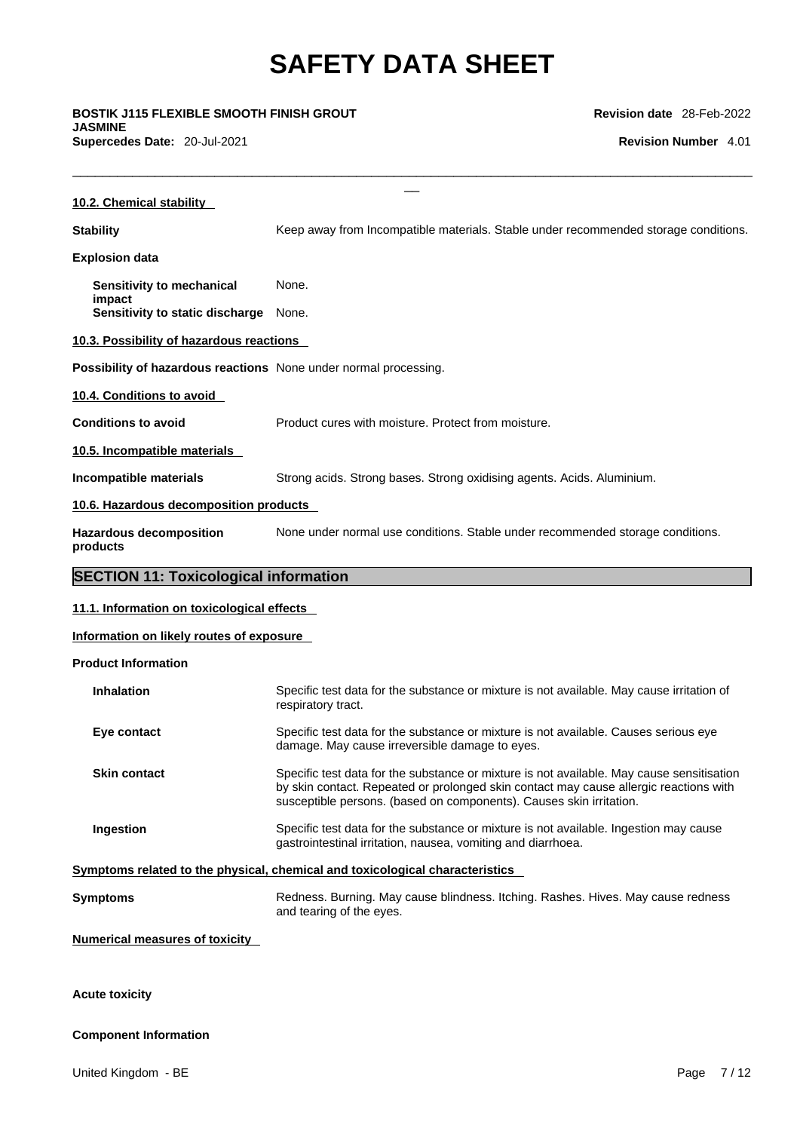\_\_ **BOSTIK J115 FLEXIBLE SMOOTH FINISH GROUT JASMINE Supercedes Date:** 20-Jul-2021 **Revision Number** 4.01

**Revision date** 28-Feb-2022

| 10.2. Chemical stability                                         |                                                                                                                                                                                                                                                           |
|------------------------------------------------------------------|-----------------------------------------------------------------------------------------------------------------------------------------------------------------------------------------------------------------------------------------------------------|
| <b>Stability</b>                                                 | Keep away from Incompatible materials. Stable under recommended storage conditions.                                                                                                                                                                       |
| <b>Explosion data</b>                                            |                                                                                                                                                                                                                                                           |
| Sensitivity to mechanical                                        | None.                                                                                                                                                                                                                                                     |
| impact<br>Sensitivity to static discharge                        | None.                                                                                                                                                                                                                                                     |
| 10.3. Possibility of hazardous reactions                         |                                                                                                                                                                                                                                                           |
| Possibility of hazardous reactions None under normal processing. |                                                                                                                                                                                                                                                           |
| 10.4. Conditions to avoid                                        |                                                                                                                                                                                                                                                           |
| <b>Conditions to avoid</b>                                       | Product cures with moisture. Protect from moisture.                                                                                                                                                                                                       |
| 10.5. Incompatible materials                                     |                                                                                                                                                                                                                                                           |
| Incompatible materials                                           | Strong acids. Strong bases. Strong oxidising agents. Acids. Aluminium.                                                                                                                                                                                    |
| 10.6. Hazardous decomposition products                           |                                                                                                                                                                                                                                                           |
| <b>Hazardous decomposition</b><br>products                       | None under normal use conditions. Stable under recommended storage conditions.                                                                                                                                                                            |
| <b>SECTION 11: Toxicological information</b>                     |                                                                                                                                                                                                                                                           |
| 11.1. Information on toxicological effects                       |                                                                                                                                                                                                                                                           |
| Information on likely routes of exposure                         |                                                                                                                                                                                                                                                           |
| <b>Product Information</b>                                       |                                                                                                                                                                                                                                                           |
| <b>Inhalation</b>                                                | Specific test data for the substance or mixture is not available. May cause irritation of<br>respiratory tract.                                                                                                                                           |
| Eye contact                                                      | Specific test data for the substance or mixture is not available. Causes serious eye<br>damage. May cause irreversible damage to eyes.                                                                                                                    |
| <b>Skin contact</b>                                              | Specific test data for the substance or mixture is not available. May cause sensitisation<br>by skin contact. Repeated or prolonged skin contact may cause allergic reactions with<br>susceptible persons. (based on components). Causes skin irritation. |
| Ingestion                                                        | Specific test data for the substance or mixture is not available. Ingestion may cause<br>gastrointestinal irritation, nausea, vomiting and diarrhoea.                                                                                                     |
|                                                                  | Symptoms related to the physical, chemical and toxicological characteristics                                                                                                                                                                              |
| <b>Symptoms</b>                                                  | Redness. Burning. May cause blindness. Itching. Rashes. Hives. May cause redness                                                                                                                                                                          |

and tearing of the eyes.

#### **Numerical measures of toxicity**

## **Acute toxicity**

### **Component Information**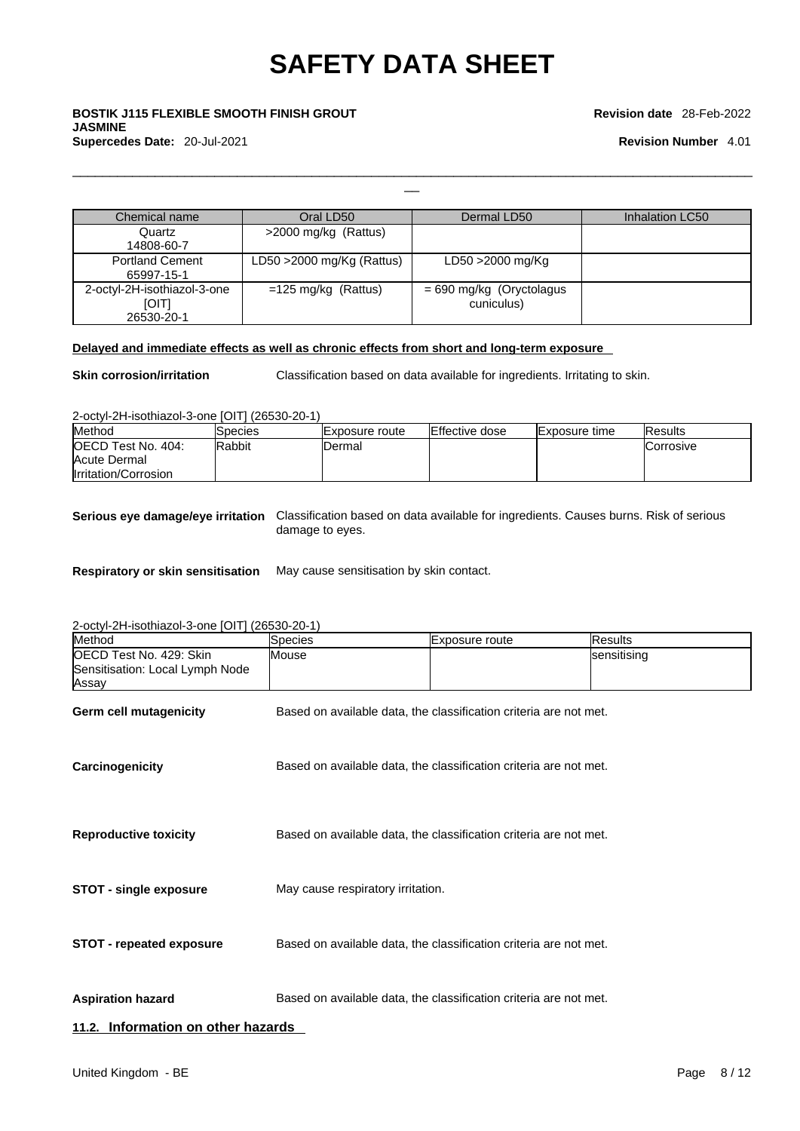# \_\_ **BOSTIK J115 FLEXIBLE SMOOTH FINISH GROUT JASMINE Supercedes Date:** 20-Jul-2021 **Revision Number** 4.01

#### **Revision date** 28-Feb-2022

| Chemical name                                      | Oral LD50                    | Dermal LD50                              | Inhalation LC50 |
|----------------------------------------------------|------------------------------|------------------------------------------|-----------------|
| Quartz<br>14808-60-7                               | >2000 mg/kg (Rattus)         |                                          |                 |
| <b>Portland Cement</b><br>65997-15-1               | LD50 $>$ 2000 mg/Kg (Rattus) | LD50 >2000 mg/Kg                         |                 |
| 2-octyl-2H-isothiazol-3-one<br>[O T]<br>26530-20-1 | $=125$ mg/kg (Rattus)        | $= 690$ mg/kg (Oryctolagus<br>cuniculus) |                 |

### **Delayed and immediate effects as well as chronic effects from short and long-term exposure**

**Skin corrosion/irritation** Classification based on data available for ingredients. Irritating to skin.

 $\Box$ 

2-octyl-2H-isothiazol-3-one [OIT] (26530-20-1)

| Method               | Species       | <b>IExposure</b> route | <b>IEffective dose</b> | <b>Exposure time</b> | <b>IResults</b>   |
|----------------------|---------------|------------------------|------------------------|----------------------|-------------------|
| OECD Test No. 404:   | <b>Rabbit</b> | IDermal                |                        |                      | <b>ICorrosive</b> |
| Acute Dermal         |               |                        |                        |                      |                   |
| Irritation/Corrosion |               |                        |                        |                      |                   |

**Serious eye damage/eye irritation** Classification based on data available for ingredients. Causes burns. Risk of serious damage to eyes.

**Respiratory or skin sensitisation** May cause sensitisation by skin contact.

2-octyl-2H-isothiazol-3-one [OIT] (26530-20-1)

| Method                                                              | Species                           | Exposure route                                                    | <b>Results</b> |
|---------------------------------------------------------------------|-----------------------------------|-------------------------------------------------------------------|----------------|
| OECD Test No. 429: Skin<br>Sensitisation: Local Lymph Node<br>Assay | Mouse                             |                                                                   | sensitising    |
| <b>Germ cell mutagenicity</b>                                       |                                   | Based on available data, the classification criteria are not met. |                |
| Carcinogenicity                                                     |                                   | Based on available data, the classification criteria are not met. |                |
| <b>Reproductive toxicity</b>                                        |                                   | Based on available data, the classification criteria are not met. |                |
| <b>STOT - single exposure</b>                                       | May cause respiratory irritation. |                                                                   |                |
| <b>STOT - repeated exposure</b>                                     |                                   | Based on available data, the classification criteria are not met. |                |
| <b>Aspiration hazard</b>                                            |                                   | Based on available data, the classification criteria are not met. |                |
| 11.2. Information on other hazards                                  |                                   |                                                                   |                |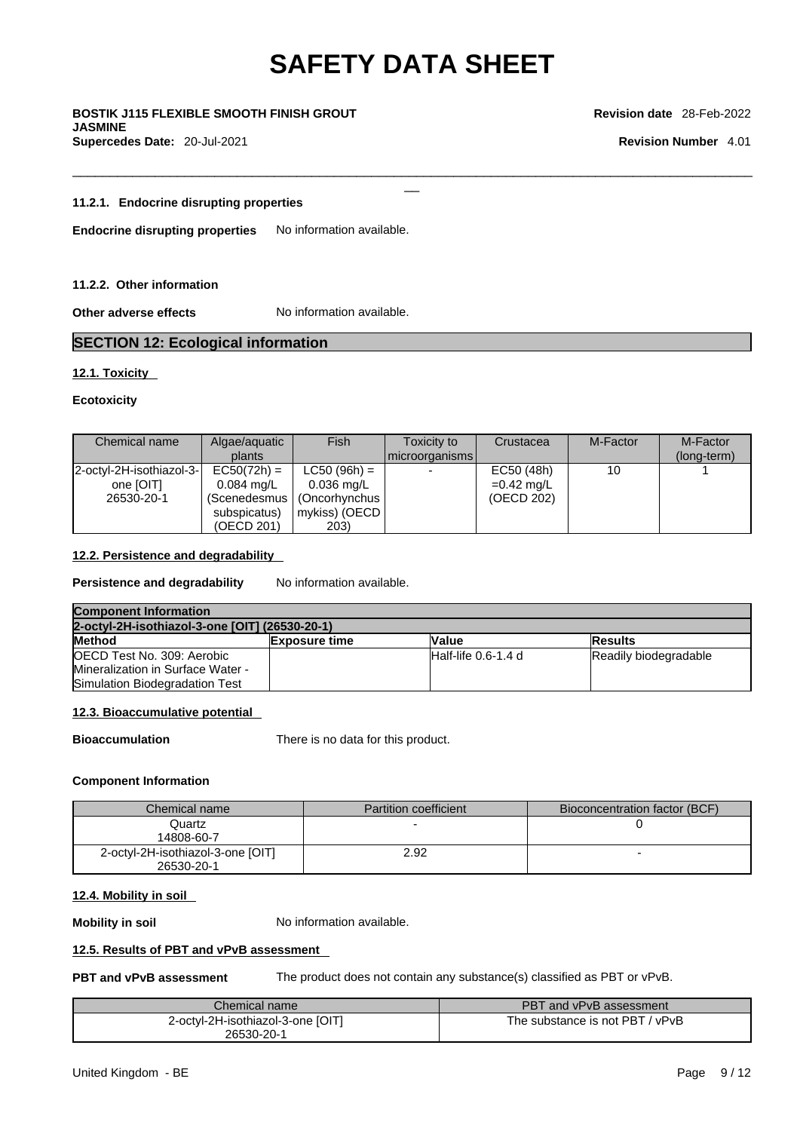$\Box$ 

\_\_ **BOSTIK J115 FLEXIBLE SMOOTH FINISH GROUT JASMINE** 

**Supercedes Date:** 20-Jul-2021 **Revision Number** 4.01

**Revision date** 28-Feb-2022

#### **11.2.1. Endocrine disrupting properties**

**Endocrine disrupting properties** No information available.

#### **11.2.2. Other information**

**Other adverse effects** No information available.

### **SECTION 12: Ecological information**

#### **12.1. Toxicity**

#### **Ecotoxicity**

| Chemical name            | Algae/aguatic        | Fish           | Toxicity to    | Crustacea    | M-Factor | M-Factor    |
|--------------------------|----------------------|----------------|----------------|--------------|----------|-------------|
|                          | plants               |                | microorganisms |              |          | (long-term) |
| 2-octyl-2H-isothiazol-3- | $EC50(72h) =$        | $LC50 (96h) =$ |                | EC50 (48h)   | 10       |             |
| one [OIT]                | $0.084 \text{ ma/L}$ | $0.036$ mg/L   |                | $=0.42$ mg/L |          |             |
| 26530-20-1               | (Scenedesmus         | (Oncorhynchus  |                | (OECD 202)   |          |             |
|                          | subspicatus)         | mykiss) (OECD  |                |              |          |             |
|                          | (OECD 201)           | 203)           |                |              |          |             |

### **12.2. Persistence and degradability**

**Persistence and degradability** No information available.

| <b>Component Information</b>                   |                      |                     |                       |
|------------------------------------------------|----------------------|---------------------|-----------------------|
| 2-octyl-2H-isothiazol-3-one [OIT] (26530-20-1) |                      |                     |                       |
| <b>Method</b>                                  | <b>Exposure time</b> | <b>Value</b>        | <b>Results</b>        |
| OECD Test No. 309: Aerobic                     |                      | Half-life 0.6-1.4 d | Readily biodegradable |
| Mineralization in Surface Water -              |                      |                     |                       |
| Simulation Biodegradation Test                 |                      |                     |                       |

#### **12.3. Bioaccumulative potential**

**Bioaccumulation** There is no data for this product.

#### **Component Information**

| Chemical name                     | <b>Partition coefficient</b> | Bioconcentration factor (BCF) |
|-----------------------------------|------------------------------|-------------------------------|
| Quartz                            |                              |                               |
| 14808-60-7                        |                              |                               |
| 2-octyl-2H-isothiazol-3-one [OIT] | 2.92                         |                               |
| 26530-20-1                        |                              |                               |

#### **12.4. Mobility in soil**

**Mobility in soil** No information available.

#### **12.5. Results of PBT and vPvB assessment**

**PBT and vPvB assessment** The product does not contain any substance(s) classified as PBT or vPvB.

| Chemical name                     | PBT and vPvB assessment         |
|-----------------------------------|---------------------------------|
| 2-octyl-2H-isothiazol-3-one [OIT] | The substance is not PBT / vPvB |
| 26530-20-1                        |                                 |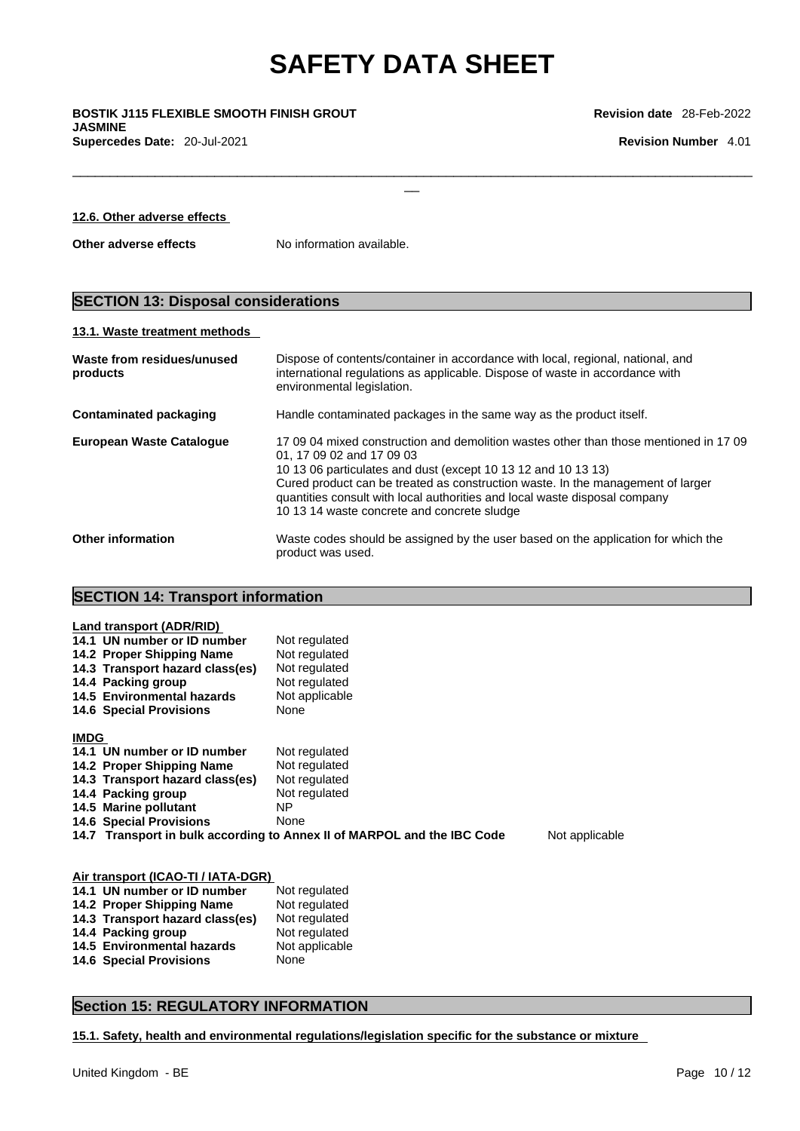$\Box$ 

\_\_ **BOSTIK J115 FLEXIBLE SMOOTH FINISH GROUT JASMINE Supercedes Date:** 20-Jul-2021 **Revision Number** 4.01

**12.6. Other adverse effects**

**Other adverse effects** No information available.

# **SECTION 13: Disposal considerations**

#### **13.1. Waste treatment methods**

| Waste from residues/unused<br>products | Dispose of contents/container in accordance with local, regional, national, and<br>international regulations as applicable. Dispose of waste in accordance with<br>environmental legislation.                                                                                                                                                                                                       |
|----------------------------------------|-----------------------------------------------------------------------------------------------------------------------------------------------------------------------------------------------------------------------------------------------------------------------------------------------------------------------------------------------------------------------------------------------------|
| <b>Contaminated packaging</b>          | Handle contaminated packages in the same way as the product itself.                                                                                                                                                                                                                                                                                                                                 |
| <b>European Waste Catalogue</b>        | 17 09 04 mixed construction and demolition wastes other than those mentioned in 17 09<br>01, 17 09 02 and 17 09 03<br>10 13 06 particulates and dust (except 10 13 12 and 10 13 13)<br>Cured product can be treated as construction waste. In the management of larger<br>quantities consult with local authorities and local waste disposal company<br>10 13 14 waste concrete and concrete sludge |
| <b>Other information</b>               | Waste codes should be assigned by the user based on the application for which the<br>product was used.                                                                                                                                                                                                                                                                                              |

## **SECTION 14: Transport information**

| Land transport (ADR/RID)<br>14.1 UN number or ID number<br>14.2 Proper Shipping Name<br>14.3 Transport hazard class(es)<br>14.4 Packing group<br>14.5 Environmental hazards<br><b>14.6 Special Provisions</b> | Not regulated<br>Not regulated<br>Not regulated<br>Not regulated<br>Not applicable<br>None |  |  |
|---------------------------------------------------------------------------------------------------------------------------------------------------------------------------------------------------------------|--------------------------------------------------------------------------------------------|--|--|
| <b>IMDG</b>                                                                                                                                                                                                   |                                                                                            |  |  |
| 14.1 UN number or ID number                                                                                                                                                                                   | Not regulated                                                                              |  |  |
| 14.2 Proper Shipping Name                                                                                                                                                                                     | Not regulated                                                                              |  |  |
| 14.3 Transport hazard class(es)<br>14.4 Packing group                                                                                                                                                         | Not regulated<br>Not regulated                                                             |  |  |
| 14.5 Marine pollutant                                                                                                                                                                                         | NΡ                                                                                         |  |  |
| <b>14.6 Special Provisions</b>                                                                                                                                                                                | None                                                                                       |  |  |
| 14.7 Transport in bulk according to Annex II of MARPOL and the IBC Code<br>Not applicable                                                                                                                     |                                                                                            |  |  |
|                                                                                                                                                                                                               |                                                                                            |  |  |
| Air transport (ICAO-TI / IATA-DGR)                                                                                                                                                                            |                                                                                            |  |  |
| 14.1 UN number or ID number                                                                                                                                                                                   | Not regulated                                                                              |  |  |
| 14.2 Proper Shipping Name<br>14.3 Transport hazard class(es)                                                                                                                                                  | Not regulated<br>Not regulated                                                             |  |  |
| 14.4 Packing group                                                                                                                                                                                            | Not regulated                                                                              |  |  |
| <b>14.5 Environmental hazards</b>                                                                                                                                                                             | Not applicable                                                                             |  |  |
| <b>14.6 Special Provisions</b>                                                                                                                                                                                | None                                                                                       |  |  |

### **Section 15: REGULATORY INFORMATION**

**15.1. Safety, health and environmental regulations/legislation specific for the substance or mixture**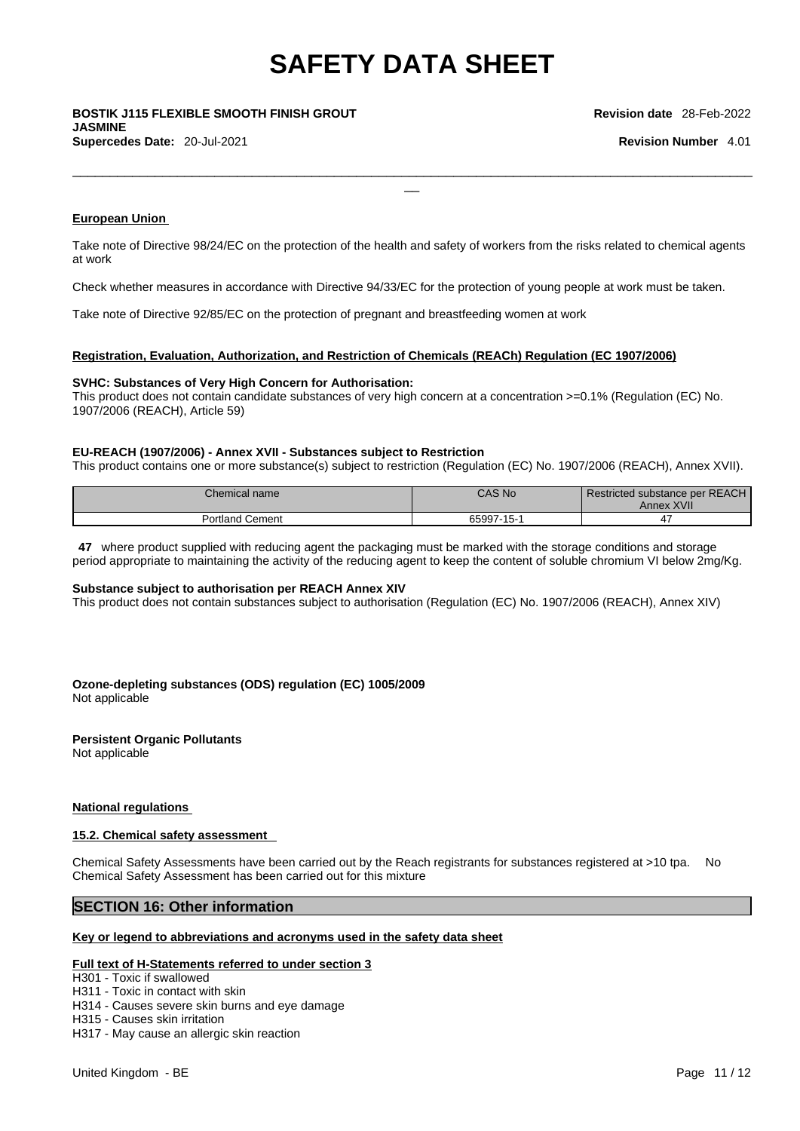\_\_ **BOSTIK J115 FLEXIBLE SMOOTH FINISH GROUT JASMINE Supercedes Date:** 20-Jul-2021 **Revision Number** 4.01

**European Union** 

Take note of Directive 98/24/EC on the protection of the health and safety of workers from the risks related to chemical agents at work

 $\Box$ 

Check whether measures in accordance with Directive 94/33/EC for the protection of young people at work must be taken.

Take note of Directive 92/85/EC on the protection of pregnant and breastfeeding women at work

#### **Registration, Evaluation, Authorization, and Restriction of Chemicals (REACh) Regulation (EC 1907/2006)**

#### **SVHC: Substances of Very High Concern for Authorisation:**

This product does not contain candidate substances of very high concern at a concentration >=0.1% (Regulation (EC) No. 1907/2006 (REACH), Article 59)

#### **EU-REACH (1907/2006) - Annex XVII - Substances subject to Restriction**

This product contains one or more substance(s) subject to restriction (Regulation (EC) No. 1907/2006 (REACH), Annex XVII).

| Chemical name          | <b>CAS No</b> | Restricted substance per REACH<br>Annex XVII |
|------------------------|---------------|----------------------------------------------|
| <b>Portland Cement</b> | 65997-15-1    |                                              |

**47** where product supplied with reducing agent the packaging must be marked with the storage conditions and storage period appropriate to maintaining the activity of the reducing agent to keep the content of soluble chromium VI below 2mg/Kg.

#### **Substance subject to authorisation per REACH Annex XIV**

This product does not contain substances subject to authorisation (Regulation (EC) No. 1907/2006 (REACH), Annex XIV)

**Ozone-depleting substances (ODS) regulation (EC) 1005/2009** Not applicable

#### **Persistent Organic Pollutants**

Not applicable

#### **National regulations**

#### **15.2. Chemical safety assessment**

Chemical Safety Assessments have been carried out by the Reach registrants for substances registered at >10 tpa. No Chemical Safety Assessment has been carried out for this mixture

### **SECTION 16: Other information**

### **Key or legend to abbreviations and acronyms used in the safety data sheet**

#### **Full text of H-Statements referred to under section 3**

H301 - Toxic if swallowed

H311 - Toxic in contact with skin

- H314 Causes severe skin burns and eye damage
- H315 Causes skin irritation
- H317 May cause an allergic skin reaction